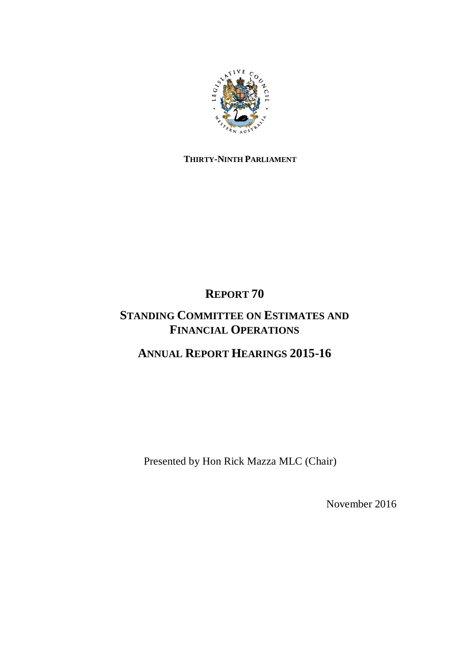

# **THIRTY-NINTH PARLIAMENT**

# **REPORT 70**

# **STANDING COMMITTEE ON ESTIMATES AND FINANCIAL OPERATIONS**

# **ANNUAL REPORT HEARINGS 2015-16**

Presented by Hon Rick Mazza MLC (Chair)

November 2016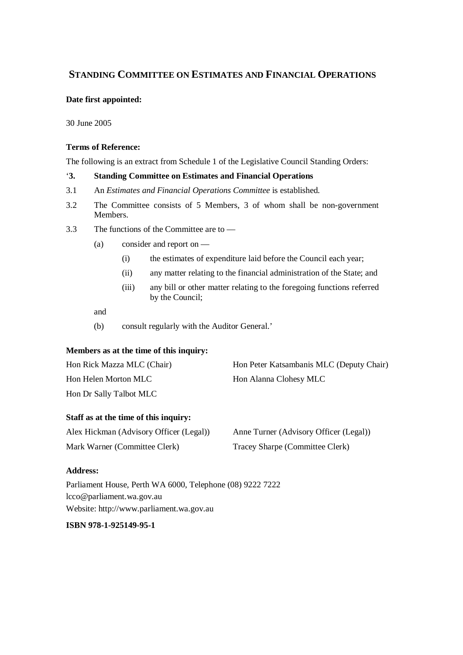## **STANDING COMMITTEE ON ESTIMATES AND FINANCIAL OPERATIONS**

#### **Date first appointed:**

30 June 2005

#### **Terms of Reference:**

The following is an extract from Schedule 1 of the Legislative Council Standing Orders:

### '**3. Standing Committee on Estimates and Financial Operations**

- 3.1 An *Estimates and Financial Operations Committee* is established.
- 3.2 The Committee consists of 5 Members, 3 of whom shall be non-government Members.
- 3.3 The functions of the Committee are to
	- (a) consider and report on
		- (i) the estimates of expenditure laid before the Council each year;
		- (ii) any matter relating to the financial administration of the State; and
		- (iii) any bill or other matter relating to the foregoing functions referred by the Council;

and

(b) consult regularly with the Auditor General.'

#### **Members as at the time of this inquiry:**

| Hon Rick Mazza MLC (Chair) | Hon Peter Katsambanis MLC (Deputy Chair) |
|----------------------------|------------------------------------------|
| Hon Helen Morton MLC       | Hon Alanna Clohesy MLC                   |
| Hon Dr Sally Talbot MLC    |                                          |

#### **Staff as at the time of this inquiry:**

| Alex Hickman (Advisory Officer (Legal)) | Anne Turner (Advisory Officer (Legal)) |
|-----------------------------------------|----------------------------------------|
| Mark Warner (Committee Clerk)           | Tracey Sharpe (Committee Clerk)        |

#### **Address:**

Parliament House, Perth WA 6000, Telephone (08) 9222 7222 lcco@parliament.wa.gov.au Website: http://www.parliament.wa.gov.au

## **ISBN 978-1-925149-95-1**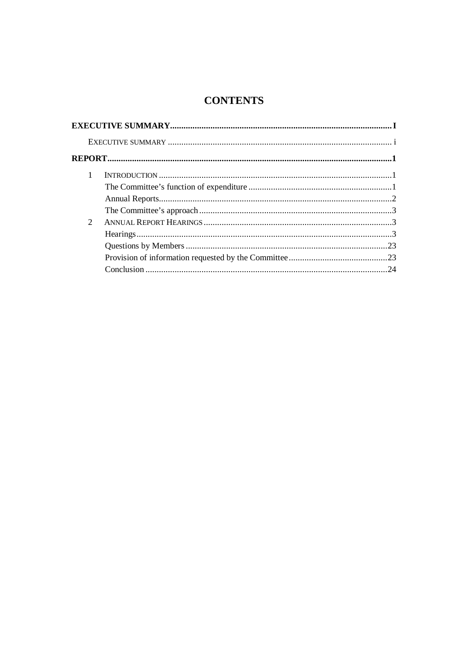# **CONTENTS**

| 1                           |  |
|-----------------------------|--|
|                             |  |
|                             |  |
|                             |  |
| $\mathcal{D}_{\mathcal{L}}$ |  |
|                             |  |
|                             |  |
|                             |  |
|                             |  |
|                             |  |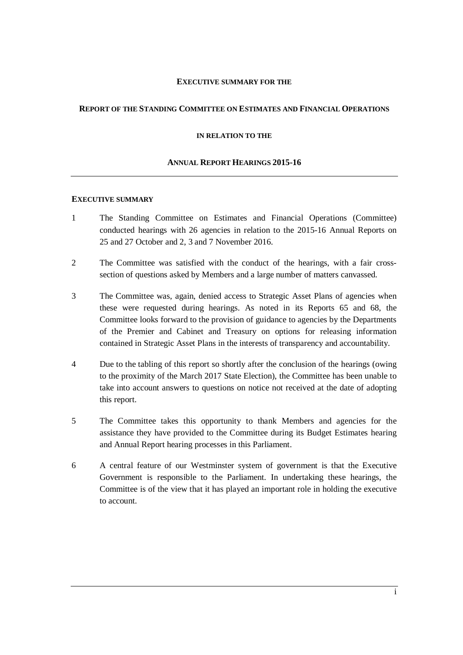#### **EXECUTIVE SUMMARY FOR THE**

#### **REPORT OF THE STANDING COMMITTEE ON ESTIMATES AND FINANCIAL OPERATIONS**

#### <span id="page-4-0"></span>**IN RELATION TO THE**

#### **ANNUAL REPORT HEARINGS 2015-16**

#### <span id="page-4-1"></span>**EXECUTIVE SUMMARY**

- 1 The Standing Committee on Estimates and Financial Operations (Committee) conducted hearings with 26 agencies in relation to the 2015-16 Annual Reports on 25 and 27 October and 2, 3 and 7 November 2016.
- 2 The Committee was satisfied with the conduct of the hearings, with a fair crosssection of questions asked by Members and a large number of matters canvassed.
- 3 The Committee was, again, denied access to Strategic Asset Plans of agencies when these were requested during hearings. As noted in its Reports 65 and 68, the Committee looks forward to the provision of guidance to agencies by the Departments of the Premier and Cabinet and Treasury on options for releasing information contained in Strategic Asset Plans in the interests of transparency and accountability.
- 4 Due to the tabling of this report so shortly after the conclusion of the hearings (owing to the proximity of the March 2017 State Election), the Committee has been unable to take into account answers to questions on notice not received at the date of adopting this report.
- 5 The Committee takes this opportunity to thank Members and agencies for the assistance they have provided to the Committee during its Budget Estimates hearing and Annual Report hearing processes in this Parliament.
- 6 A central feature of our Westminster system of government is that the Executive Government is responsible to the Parliament. In undertaking these hearings, the Committee is of the view that it has played an important role in holding the executive to account.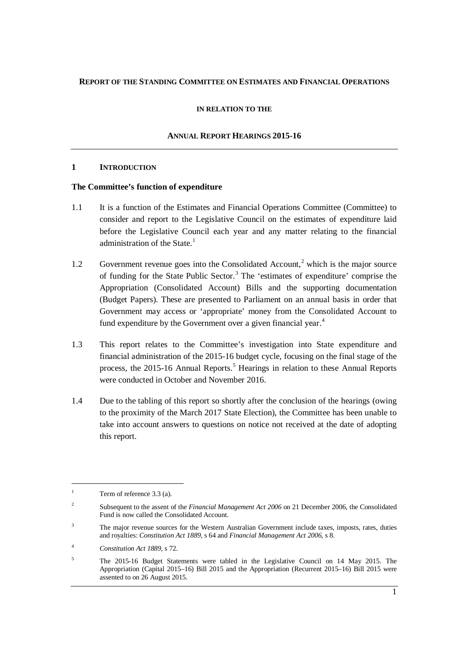#### <span id="page-6-0"></span>**REPORT OF THE STANDING COMMITTEE ON ESTIMATES AND FINANCIAL OPERATIONS**

#### **IN RELATION TO THE**

### **ANNUAL REPORT HEARINGS 2015-16**

#### <span id="page-6-1"></span>**1 INTRODUCTION**

#### <span id="page-6-2"></span>**The Committee's function of expenditure**

- 1.1 It is a function of the Estimates and Financial Operations Committee (Committee) to consider and report to the Legislative Council on the estimates of expenditure laid before the Legislative Council each year and any matter relating to the financial administration of the State. $1$
- 1.[2](#page-6-4) Government revenue goes into the Consolidated Account,<sup>2</sup> which is the major source of funding for the State Public Sector.<sup>[3](#page-6-5)</sup> The 'estimates of expenditure' comprise the Appropriation (Consolidated Account) Bills and the supporting documentation (Budget Papers). These are presented to Parliament on an annual basis in order that Government may access or 'appropriate' money from the Consolidated Account to fund expenditure by the Government over a given financial year.<sup>[4](#page-6-6)</sup>
- 1.3 This report relates to the Committee's investigation into State expenditure and financial administration of the 2015-16 budget cycle, focusing on the final stage of the process, the 201[5](#page-6-7)-16 Annual Reports.<sup>5</sup> Hearings in relation to these Annual Reports were conducted in October and November 2016.
- 1.4 Due to the tabling of this report so shortly after the conclusion of the hearings (owing to the proximity of the March 2017 State Election), the Committee has been unable to take into account answers to questions on notice not received at the date of adopting this report.

 $\ddot{\phantom{a}}$ 

<span id="page-6-5"></span><sup>3</sup> The major revenue sources for the Western Australian Government include taxes, imposts, rates, duties and royalties: *Constitution Act 1889*, s 64 and *Financial Management Act 2006*, s 8.

<span id="page-6-3"></span><sup>&</sup>lt;sup>1</sup> Term of reference  $3.3$  (a).

<span id="page-6-4"></span><sup>&</sup>lt;sup>2</sup> Subsequent to the assent of the *Financial Management Act 2006* on 21 December 2006, the Consolidated Fund is now called the Consolidated Account.

<span id="page-6-6"></span><sup>4</sup> *Constitution Act 1889*, s 72.

<span id="page-6-7"></span><sup>5</sup> The 2015-16 Budget Statements were tabled in the Legislative Council on 14 May 2015. The Appropriation (Capital 2015–16) Bill 2015 and the Appropriation (Recurrent 2015–16) Bill 2015 were assented to on 26 August 2015.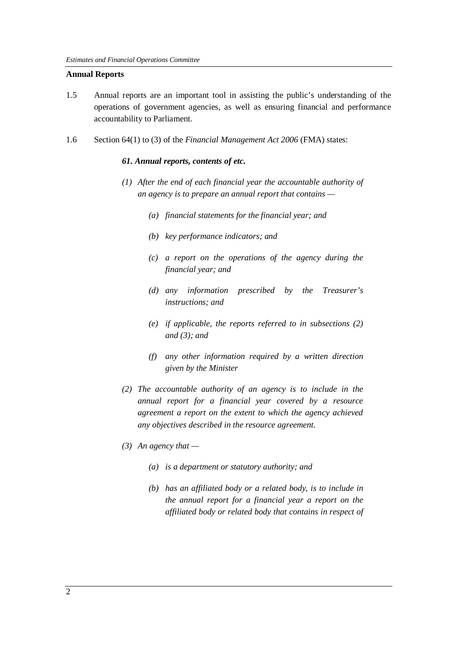#### <span id="page-7-0"></span>**Annual Reports**

- 1.5 Annual reports are an important tool in assisting the public's understanding of the operations of government agencies, as well as ensuring financial and performance accountability to Parliament.
- 1.6 Section 64(1) to (3) of the *Financial Management Act 2006* (FMA) states:

#### *61. Annual reports, contents of etc.*

- *(1) After the end of each financial year the accountable authority of an agency is to prepare an annual report that contains —*
	- *(a) financial statements for the financial year; and*
	- *(b) key performance indicators; and*
	- *(c) a report on the operations of the agency during the financial year; and*
	- *(d) any information prescribed by the Treasurer's instructions; and*
	- *(e) if applicable, the reports referred to in subsections (2) and (3); and*
	- *(f) any other information required by a written direction given by the Minister*
- *(2) The accountable authority of an agency is to include in the annual report for a financial year covered by a resource agreement a report on the extent to which the agency achieved any objectives described in the resource agreement.*
- *(3) An agency that —*
	- *(a) is a department or statutory authority; and*
	- *(b) has an affiliated body or a related body, is to include in the annual report for a financial year a report on the affiliated body or related body that contains in respect of*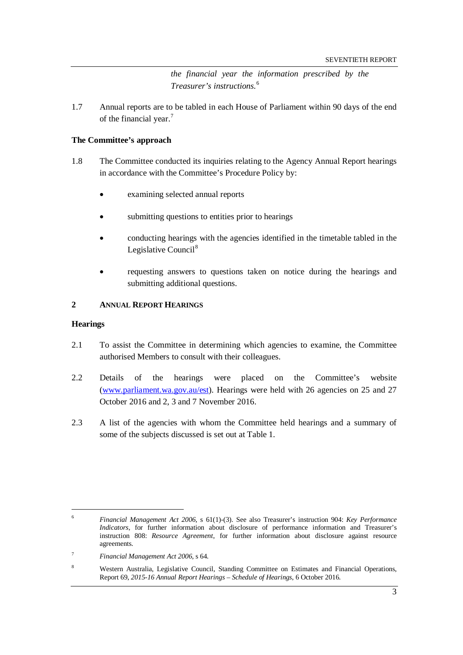*the financial year the information prescribed by the Treasurer's instructions.*[6](#page-8-3)

1.7 Annual reports are to be tabled in each House of Parliament within 90 days of the end of the financial year.<sup>[7](#page-8-4)</sup>

#### <span id="page-8-0"></span>**The Committee's approach**

- 1.8 The Committee conducted its inquiries relating to the Agency Annual Report hearings in accordance with the Committee's Procedure Policy by:
	- examining selected annual reports
	- submitting questions to entities prior to hearings
	- conducting hearings with the agencies identified in the timetable tabled in the Legislative Council<sup>[8](#page-8-5)</sup>
	- requesting answers to questions taken on notice during the hearings and submitting additional questions.

### <span id="page-8-1"></span>**2 ANNUAL REPORT HEARINGS**

#### <span id="page-8-2"></span>**Hearings**

- 2.1 To assist the Committee in determining which agencies to examine, the Committee authorised Members to consult with their colleagues.
- 2.2 Details of the hearings were placed on the Committee's website [\(www.parliament.wa.gov.au/est\)](http://www.parliament.wa.gov.au/est). Hearings were held with 26 agencies on 25 and 27 October 2016 and 2, 3 and 7 November 2016.
- 2.3 A list of the agencies with whom the Committee held hearings and a summary of some of the subjects discussed is set out at Table 1.

<span id="page-8-3"></span><sup>6</sup> *Financial Management Act 2006,* s 61(1)-(3). See also Treasurer's instruction 904: *Key Performance Indicators*, for further information about disclosure of performance information and Treasurer's instruction 808: *Resource Agreement*, for further information about disclosure against resource agreements.

<span id="page-8-4"></span><sup>7</sup> *Financial Management Act 2006,* s 64.

<span id="page-8-5"></span><sup>8</sup> Western Australia, Legislative Council, Standing Committee on Estimates and Financial Operations, Report 69, *2015-16 Annual Report Hearings – Schedule of Hearings*, 6 October 2016.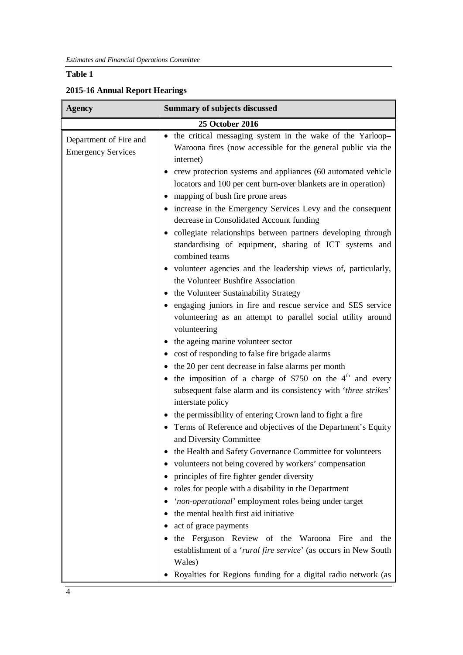## **Table 1**

## **2015-16 Annual Report Hearings**

| <b>Agency</b>                                       | <b>Summary of subjects discussed</b>                                                                                                                                                                                                                                              |
|-----------------------------------------------------|-----------------------------------------------------------------------------------------------------------------------------------------------------------------------------------------------------------------------------------------------------------------------------------|
|                                                     | 25 October 2016                                                                                                                                                                                                                                                                   |
| Department of Fire and<br><b>Emergency Services</b> | • the critical messaging system in the wake of the Yarloop-<br>Waroona fires (now accessible for the general public via the<br>internet)                                                                                                                                          |
|                                                     | crew protection systems and appliances (60 automated vehicle<br>locators and 100 per cent burn-over blankets are in operation)<br>mapping of bush fire prone areas<br>٠<br>increase in the Emergency Services Levy and the consequent<br>decrease in Consolidated Account funding |
|                                                     | • collegiate relationships between partners developing through<br>standardising of equipment, sharing of ICT systems and<br>combined teams                                                                                                                                        |
|                                                     | • volunteer agencies and the leadership views of, particularly,                                                                                                                                                                                                                   |
|                                                     | the Volunteer Bushfire Association                                                                                                                                                                                                                                                |
|                                                     | • the Volunteer Sustainability Strategy                                                                                                                                                                                                                                           |
|                                                     | • engaging juniors in fire and rescue service and SES service<br>volunteering as an attempt to parallel social utility around<br>volunteering                                                                                                                                     |
|                                                     | • the ageing marine volunteer sector                                                                                                                                                                                                                                              |
|                                                     | • cost of responding to false fire brigade alarms                                                                                                                                                                                                                                 |
|                                                     | the 20 per cent decrease in false alarms per month                                                                                                                                                                                                                                |
|                                                     | • the imposition of a charge of \$750 on the $4th$ and every                                                                                                                                                                                                                      |
|                                                     | subsequent false alarm and its consistency with 'three strikes'<br>interstate policy                                                                                                                                                                                              |
|                                                     | • the permissibility of entering Crown land to fight a fire                                                                                                                                                                                                                       |
|                                                     | • Terms of Reference and objectives of the Department's Equity<br>and Diversity Committee                                                                                                                                                                                         |
|                                                     | the Health and Safety Governance Committee for volunteers                                                                                                                                                                                                                         |
|                                                     | volunteers not being covered by workers' compensation                                                                                                                                                                                                                             |
|                                                     | principles of fire fighter gender diversity                                                                                                                                                                                                                                       |
|                                                     | roles for people with a disability in the Department<br>$\bullet$                                                                                                                                                                                                                 |
|                                                     | 'non-operational' employment roles being under target                                                                                                                                                                                                                             |
|                                                     | the mental health first aid initiative                                                                                                                                                                                                                                            |
|                                                     | act of grace payments<br>$\bullet$                                                                                                                                                                                                                                                |
|                                                     | the Ferguson Review of the Waroona Fire and the                                                                                                                                                                                                                                   |
|                                                     | establishment of a 'rural fire service' (as occurs in New South<br>Wales)                                                                                                                                                                                                         |
|                                                     | Royalties for Regions funding for a digital radio network (as                                                                                                                                                                                                                     |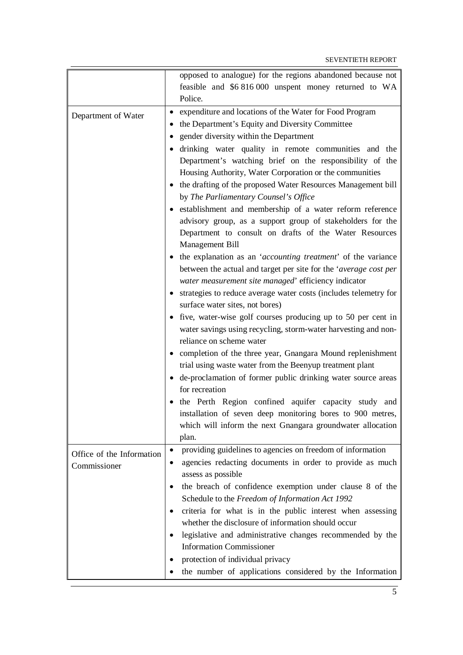|                           | opposed to analogue) for the regions abandoned because not                                              |
|---------------------------|---------------------------------------------------------------------------------------------------------|
|                           | feasible and \$6 816 000 unspent money returned to WA                                                   |
|                           | Police.                                                                                                 |
|                           | expenditure and locations of the Water for Food Program                                                 |
| Department of Water       | the Department's Equity and Diversity Committee<br>٠                                                    |
|                           |                                                                                                         |
|                           | gender diversity within the Department                                                                  |
|                           | drinking water quality in remote communities and the                                                    |
|                           | Department's watching brief on the responsibility of the                                                |
|                           | Housing Authority, Water Corporation or the communities                                                 |
|                           | • the drafting of the proposed Water Resources Management bill<br>by The Parliamentary Counsel's Office |
|                           | • establishment and membership of a water reform reference                                              |
|                           | advisory group, as a support group of stakeholders for the                                              |
|                           | Department to consult on drafts of the Water Resources                                                  |
|                           | Management Bill                                                                                         |
|                           | • the explanation as an 'accounting treatment' of the variance                                          |
|                           | between the actual and target per site for the 'average cost per                                        |
|                           | water measurement site managed' efficiency indicator                                                    |
|                           | • strategies to reduce average water costs (includes telemetry for                                      |
|                           | surface water sites, not bores)                                                                         |
|                           | • five, water-wise golf courses producing up to 50 per cent in                                          |
|                           | water savings using recycling, storm-water harvesting and non-                                          |
|                           | reliance on scheme water                                                                                |
|                           | • completion of the three year, Gnangara Mound replenishment                                            |
|                           | trial using waste water from the Beenyup treatment plant                                                |
|                           |                                                                                                         |
|                           | de-proclamation of former public drinking water source areas<br>for recreation                          |
|                           | • the Perth Region confined aquifer capacity study and                                                  |
|                           | installation of seven deep monitoring bores to 900 metres,                                              |
|                           | which will inform the next Gnangara groundwater allocation                                              |
|                           | plan.                                                                                                   |
| Office of the Information | providing guidelines to agencies on freedom of information<br>$\bullet$                                 |
| Commissioner              | agencies redacting documents in order to provide as much                                                |
|                           | assess as possible                                                                                      |
|                           | the breach of confidence exemption under clause 8 of the                                                |
|                           | Schedule to the Freedom of Information Act 1992                                                         |
|                           | criteria for what is in the public interest when assessing                                              |
|                           | whether the disclosure of information should occur                                                      |
|                           | legislative and administrative changes recommended by the<br>$\bullet$                                  |
|                           | <b>Information Commissioner</b>                                                                         |
|                           | protection of individual privacy                                                                        |
|                           | ٠                                                                                                       |
|                           | the number of applications considered by the Information                                                |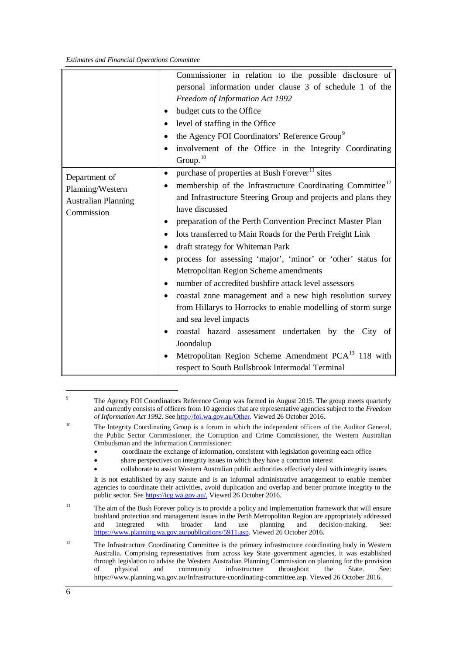|                                                                               | Commissioner in relation to the possible disclosure of<br>personal information under clause 3 of schedule 1 of the<br>Freedom of Information Act 1992<br>budget cuts to the Office<br>level of staffing in the Office<br>the Agency FOI Coordinators' Reference Group <sup>9</sup><br>٠<br>involvement of the Office in the Integrity Coordinating<br>$\bullet$<br>Group. <sup>10</sup>                                                                                                                                                                                                                                                                                                                                                                                                                                                                                                                                                         |
|-------------------------------------------------------------------------------|-------------------------------------------------------------------------------------------------------------------------------------------------------------------------------------------------------------------------------------------------------------------------------------------------------------------------------------------------------------------------------------------------------------------------------------------------------------------------------------------------------------------------------------------------------------------------------------------------------------------------------------------------------------------------------------------------------------------------------------------------------------------------------------------------------------------------------------------------------------------------------------------------------------------------------------------------|
| Department of<br>Planning/Western<br><b>Australian Planning</b><br>Commission | purchase of properties at Bush Forever <sup>11</sup> sites<br>$\bullet$<br>membership of the Infrastructure Coordinating Committee <sup>12</sup><br>and Infrastructure Steering Group and projects and plans they<br>have discussed<br>preparation of the Perth Convention Precinct Master Plan<br>lots transferred to Main Roads for the Perth Freight Link<br>$\bullet$<br>draft strategy for Whiteman Park<br>٠<br>process for assessing 'major', 'minor' or 'other' status for<br>Metropolitan Region Scheme amendments<br>number of accredited bushfire attack level assessors<br>coastal zone management and a new high resolution survey<br>from Hillarys to Horrocks to enable modelling of storm surge<br>and sea level impacts<br>coastal hazard assessment undertaken by the City of<br>$\bullet$<br>Joondalup<br>Metropolitan Region Scheme Amendment PCA <sup>13</sup> 118 with<br>respect to South Bullsbrook Intermodal Terminal |

<span id="page-11-0"></span><sup>&</sup>lt;sup>9</sup> The Agency FOI Coordinators Reference Group was formed in August 2015. The group meets quarterly and currently consists of officers from 10 agencies that are representative agencies subject to the *Freedom of Information Act 1992*. Se[e http://foi.wa.gov.au/Other.](http://foi.wa.gov.au/Other) Viewed 26 October 2016.

- coordinate the exchange of information, consistent with legislation governing each office
	- share perspectives on integrity issues in which they have a common interest
- collaborate to assist Western Australian public authorities effectively deal with integrity issues.

It is not established by any statute and is an informal administrative arrangement to enable member agencies to coordinate their activities, avoid duplication and overlap and better promote integrity to the public sector. See [https://icg.wa.gov.au/.](https://icg.wa.gov.au/) Viewed 26 October 2016.

- <span id="page-11-2"></span><sup>11</sup> The aim of the Bush Forever policy is to provide a policy and implementation framework that will ensure bushland protection and management issues in the Perth Metropolitan Region are appropriately addressed decision-making. [https://www.planning.wa.gov.au/publications/5911.asp.](https://www.planning.wa.gov.au/publications/5911.asp) Viewed 26 October 2016.
- <span id="page-11-4"></span><span id="page-11-3"></span><sup>12</sup> The Infrastructure Coordinating Committee is the primary infrastructure coordinating body in Western Australia. Comprising representatives from across key State government agencies, it was established through legislation to advise the Western Australian Planning Commission on planning for the provision of physical and community infrastructure throughout the State. See: [https://www.planning.wa.gov.au/Infrastructure-coordinating-committee.asp.](https://www.planning.wa.gov.au/Infrastructure-coordinating-committee.asp) Viewed 26 October 2016.

<span id="page-11-1"></span><sup>&</sup>lt;sup>10</sup> The Integrity Coordinating Group is a forum in which the independent officers of the Auditor General, the Public Sector Commissioner, the Corruption and Crime Commissioner, the Western Australian Ombudsman and the Information Commissioner: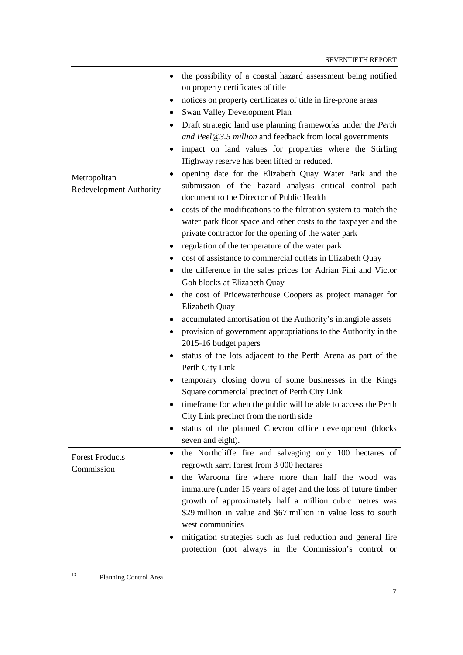|                         | the possibility of a coastal hazard assessment being notified<br>$\bullet$  |
|-------------------------|-----------------------------------------------------------------------------|
|                         | on property certificates of title                                           |
|                         | notices on property certificates of title in fire-prone areas               |
|                         | ٠                                                                           |
|                         | Swan Valley Development Plan                                                |
|                         | Draft strategic land use planning frameworks under the Perth<br>$\bullet$   |
|                         | and Peel@3.5 million and feedback from local governments                    |
|                         | impact on land values for properties where the Stirling                     |
|                         | Highway reserve has been lifted or reduced.                                 |
| Metropolitan            | opening date for the Elizabeth Quay Water Park and the<br>$\bullet$         |
| Redevelopment Authority | submission of the hazard analysis critical control path                     |
|                         | document to the Director of Public Health                                   |
|                         | costs of the modifications to the filtration system to match the<br>٠       |
|                         | water park floor space and other costs to the taxpayer and the              |
|                         | private contractor for the opening of the water park                        |
|                         | regulation of the temperature of the water park<br>٠                        |
|                         | cost of assistance to commercial outlets in Elizabeth Quay                  |
|                         | the difference in the sales prices for Adrian Fini and Victor               |
|                         | Goh blocks at Elizabeth Quay                                                |
|                         | the cost of Pricewaterhouse Coopers as project manager for                  |
|                         | Elizabeth Quay                                                              |
|                         | accumulated amortisation of the Authority's intangible assets               |
|                         | provision of government appropriations to the Authority in the<br>$\bullet$ |
|                         | 2015-16 budget papers                                                       |
|                         | status of the lots adjacent to the Perth Arena as part of the               |
|                         | Perth City Link                                                             |
|                         | temporary closing down of some businesses in the Kings                      |
|                         | Square commercial precinct of Perth City Link                               |
|                         | timeframe for when the public will be able to access the Perth              |
|                         | City Link precinct from the north side                                      |
|                         |                                                                             |
|                         | status of the planned Chevron office development (blocks<br>٠               |
|                         | seven and eight).                                                           |
| <b>Forest Products</b>  | the Northcliffe fire and salvaging only 100 hectares of<br>$\bullet$        |
| Commission              | regrowth karri forest from 3 000 hectares                                   |
|                         | the Waroona fire where more than half the wood was<br>٠                     |
|                         | immature (under 15 years of age) and the loss of future timber              |
|                         | growth of approximately half a million cubic metres was                     |
|                         | \$29 million in value and \$67 million in value loss to south               |
|                         | west communities                                                            |
|                         | mitigation strategies such as fuel reduction and general fire               |
|                         | protection (not always in the Commission's control or                       |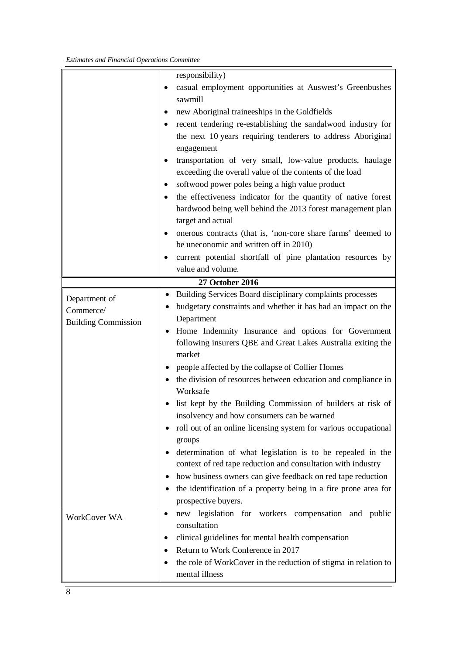|                            | responsibility)                                                   |
|----------------------------|-------------------------------------------------------------------|
|                            | casual employment opportunities at Auswest's Greenbushes<br>٠     |
|                            | sawmill                                                           |
|                            | new Aboriginal traineeships in the Goldfields                     |
|                            | recent tendering re-establishing the sandalwood industry for<br>٠ |
|                            | the next 10 years requiring tenderers to address Aboriginal       |
|                            | engagement                                                        |
|                            | transportation of very small, low-value products, haulage<br>٠    |
|                            | exceeding the overall value of the contents of the load           |
|                            | softwood power poles being a high value product                   |
|                            | the effectiveness indicator for the quantity of native forest     |
|                            | hardwood being well behind the 2013 forest management plan        |
|                            | target and actual                                                 |
|                            | onerous contracts (that is, 'non-core share farms' deemed to      |
|                            | be uneconomic and written off in 2010)                            |
|                            | current potential shortfall of pine plantation resources by<br>٠  |
|                            | value and volume.                                                 |
|                            | 27 October 2016                                                   |
| Department of              | Building Services Board disciplinary complaints processes<br>٠    |
| Commerce/                  | budgetary constraints and whether it has had an impact on the     |
| <b>Building Commission</b> | Department                                                        |
|                            | Home Indemnity Insurance and options for Government               |
|                            | following insurers QBE and Great Lakes Australia exiting the      |
|                            | market                                                            |
|                            | people affected by the collapse of Collier Homes                  |
|                            | the division of resources between education and compliance in     |
|                            | Worksafe                                                          |
|                            | list kept by the Building Commission of builders at risk of       |
|                            | insolvency and how consumers can be warned                        |
|                            | roll out of an online licensing system for various occupational   |
|                            | groups                                                            |
|                            | determination of what legislation is to be repealed in the        |
|                            | context of red tape reduction and consultation with industry      |
|                            | how business owners can give feedback on red tape reduction       |
|                            | the identification of a property being in a fire prone area for   |
|                            | prospective buyers.                                               |
| WorkCover WA               | new legislation for workers compensation and public<br>$\bullet$  |
|                            | consultation                                                      |
|                            | clinical guidelines for mental health compensation<br>٠           |
|                            | Return to Work Conference in 2017                                 |
|                            | the role of WorkCover in the reduction of stigma in relation to   |
|                            | mental illness                                                    |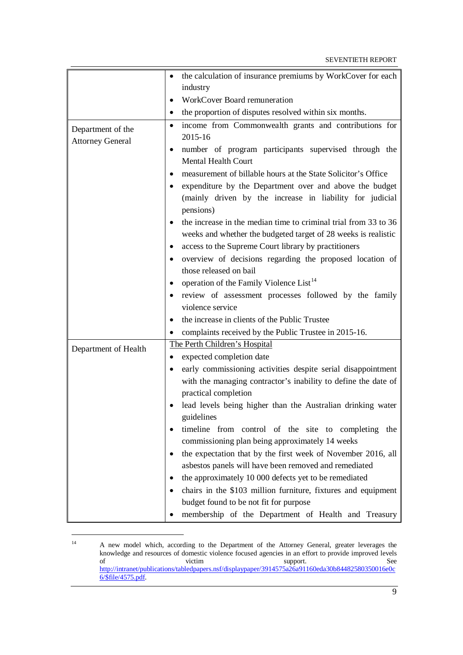|                         | the calculation of insurance premiums by WorkCover for each                  |
|-------------------------|------------------------------------------------------------------------------|
|                         | industry                                                                     |
|                         |                                                                              |
|                         | WorkCover Board remuneration<br>$\bullet$                                    |
|                         | the proportion of disputes resolved within six months.<br>$\bullet$          |
| Department of the       | income from Commonwealth grants and contributions for<br>$\bullet$           |
| <b>Attorney General</b> | 2015-16                                                                      |
|                         | number of program participants supervised through the<br>٠                   |
|                         | Mental Health Court                                                          |
|                         | measurement of billable hours at the State Solicitor's Office                |
|                         | expenditure by the Department over and above the budget<br>$\bullet$         |
|                         | (mainly driven by the increase in liability for judicial                     |
|                         | pensions)                                                                    |
|                         | the increase in the median time to criminal trial from 33 to 36<br>$\bullet$ |
|                         | weeks and whether the budgeted target of 28 weeks is realistic               |
|                         | access to the Supreme Court library by practitioners<br>٠                    |
|                         | overview of decisions regarding the proposed location of                     |
|                         | those released on bail                                                       |
|                         | operation of the Family Violence List <sup>14</sup><br>$\bullet$             |
|                         | review of assessment processes followed by the family                        |
|                         | violence service                                                             |
|                         | the increase in clients of the Public Trustee<br>$\bullet$                   |
|                         | complaints received by the Public Trustee in 2015-16.                        |
|                         | The Perth Children's Hospital                                                |
| Department of Health    | expected completion date                                                     |
|                         | early commissioning activities despite serial disappointment                 |
|                         | with the managing contractor's inability to define the date of               |
|                         | practical completion                                                         |
|                         | lead levels being higher than the Australian drinking water                  |
|                         | guidelines                                                                   |
|                         | timeline from control of the site to completing the                          |
|                         | commissioning plan being approximately 14 weeks                              |
|                         | the expectation that by the first week of November 2016, all                 |
|                         | asbestos panels will have been removed and remediated                        |
|                         | the approximately 10 000 defects yet to be remediated                        |
|                         | chairs in the \$103 million furniture, fixtures and equipment                |
|                         | budget found to be not fit for purpose                                       |
|                         | membership of the Department of Health and Treasury                          |
|                         |                                                                              |

<span id="page-14-0"></span> $14$ <sup>14</sup> A new model which, according to the Department of the Attorney General, greater leverages the knowledge and resources of domestic violence focused agencies in an effort to provide improved levels of victim victim support. See [http://intranet/publications/tabledpapers.nsf/displaypaper/3914575a26a91160eda30b84482580350016e0c](http://intranet/publications/tabledpapers.nsf/displaypaper/3914575a26a91160eda30b84482580350016e0c6/$file/4575.pdf) [6/\\$file/4575.pdf.](http://intranet/publications/tabledpapers.nsf/displaypaper/3914575a26a91160eda30b84482580350016e0c6/$file/4575.pdf)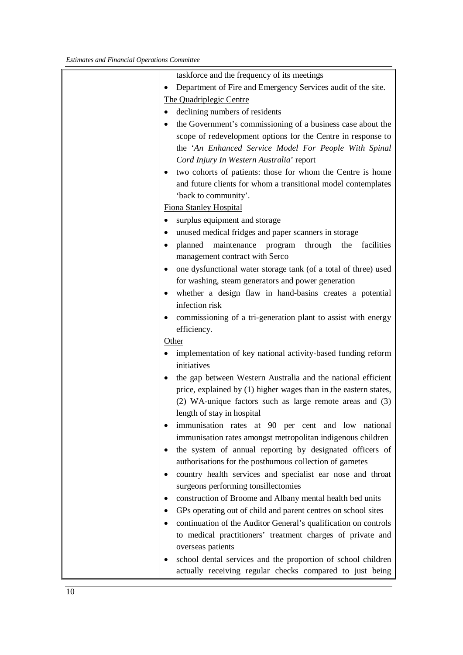| taskforce and the frequency of its meetings                                       |
|-----------------------------------------------------------------------------------|
| Department of Fire and Emergency Services audit of the site.                      |
| The Quadriplegic Centre                                                           |
| declining numbers of residents                                                    |
| the Government's commissioning of a business case about the                       |
| scope of redevelopment options for the Centre in response to                      |
| the 'An Enhanced Service Model For People With Spinal                             |
| Cord Injury In Western Australia' report                                          |
| two cohorts of patients: those for whom the Centre is home<br>$\bullet$           |
| and future clients for whom a transitional model contemplates                     |
| 'back to community'.                                                              |
| <b>Fiona Stanley Hospital</b>                                                     |
| surplus equipment and storage                                                     |
| unused medical fridges and paper scanners in storage                              |
| planned<br>maintenance program<br>through the<br>facilities                       |
| management contract with Serco                                                    |
| one dysfunctional water storage tank (of a total of three) used                   |
| for washing, steam generators and power generation                                |
| whether a design flaw in hand-basins creates a potential<br>٠                     |
| infection risk                                                                    |
| commissioning of a tri-generation plant to assist with energy                     |
| efficiency.                                                                       |
| Other                                                                             |
| implementation of key national activity-based funding reform                      |
| initiatives                                                                       |
| the gap between Western Australia and the national efficient                      |
| price, explained by (1) higher wages than in the eastern states,                  |
| (2) WA-unique factors such as large remote areas and (3)                          |
| length of stay in hospital                                                        |
| immunisation rates at 90 per cent and low national                                |
| immunisation rates amongst metropolitan indigenous children                       |
| the system of annual reporting by designated officers of                          |
| authorisations for the posthumous collection of gametes                           |
| country health services and specialist ear nose and throat                        |
| surgeons performing tonsillectomies                                               |
| construction of Broome and Albany mental health bed units                         |
| GPs operating out of child and parent centres on school sites                     |
|                                                                                   |
|                                                                                   |
| continuation of the Auditor General's qualification on controls                   |
| to medical practitioners' treatment charges of private and                        |
| overseas patients<br>school dental services and the proportion of school children |
|                                                                                   |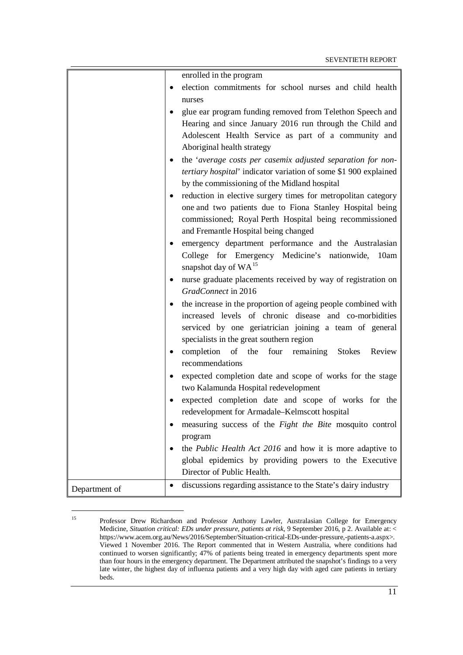|                    | enrolled in the program                                                |
|--------------------|------------------------------------------------------------------------|
| $\bullet$          | election commitments for school nurses and child health                |
|                    | nurses                                                                 |
|                    | glue ear program funding removed from Telethon Speech and              |
|                    | Hearing and since January 2016 run through the Child and               |
|                    | Adolescent Health Service as part of a community and                   |
|                    | Aboriginal health strategy                                             |
|                    | the 'average costs per casemix adjusted separation for non-            |
|                    | tertiary hospital' indicator variation of some \$1 900 explained       |
|                    | by the commissioning of the Midland hospital                           |
|                    | reduction in elective surgery times for metropolitan category<br>٠     |
|                    | one and two patients due to Fiona Stanley Hospital being               |
|                    | commissioned; Royal Perth Hospital being recommissioned                |
|                    | and Fremantle Hospital being changed                                   |
|                    | emergency department performance and the Australasian                  |
|                    | College for Emergency Medicine's nationwide,<br>10am                   |
|                    | snapshot day of WA <sup>15</sup>                                       |
|                    | nurse graduate placements received by way of registration on<br>٠      |
|                    | GradConnect in 2016                                                    |
|                    | the increase in the proportion of ageing people combined with          |
|                    | increased levels of chronic disease and co-morbidities                 |
|                    | serviced by one geriatrician joining a team of general                 |
|                    | specialists in the great southern region                               |
|                    | completion<br>of the four remaining<br><b>Stokes</b><br>Review         |
|                    | recommendations                                                        |
|                    | expected completion date and scope of works for the stage<br>$\bullet$ |
|                    | two Kalamunda Hospital redevelopment                                   |
|                    | expected completion date and scope of works for the                    |
|                    | redevelopment for Armadale-Kelmscott hospital                          |
|                    | measuring success of the <i>Fight the Bite</i> mosquito control        |
|                    | program                                                                |
|                    | the <i>Public Health Act 2016</i> and how it is more adaptive to       |
|                    | global epidemics by providing powers to the Executive                  |
|                    | Director of Public Health.                                             |
| ٠<br>Department of | discussions regarding assistance to the State's dairy industry         |

<span id="page-16-0"></span><sup>&</sup>lt;sup>15</sup> Professor Drew Richardson and Professor Anthony Lawler, Australasian College for Emergency Medicine, *Situation critical: EDs under pressure, patients at risk*, 9 September 2016, p 2. Available at: < https://www.acem.org.au/News/2016/September/Situation-critical-EDs-under-pressure,-patients-a.aspx>. Viewed 1 November 2016. The Report commented that in Western Australia, where conditions had continued to worsen significantly; 47% of patients being treated in emergency departments spent more than four hours in the emergency department. The Department attributed the snapshot's findings to a very late winter, the highest day of influenza patients and a very high day with aged care patients in tertiary beds.

-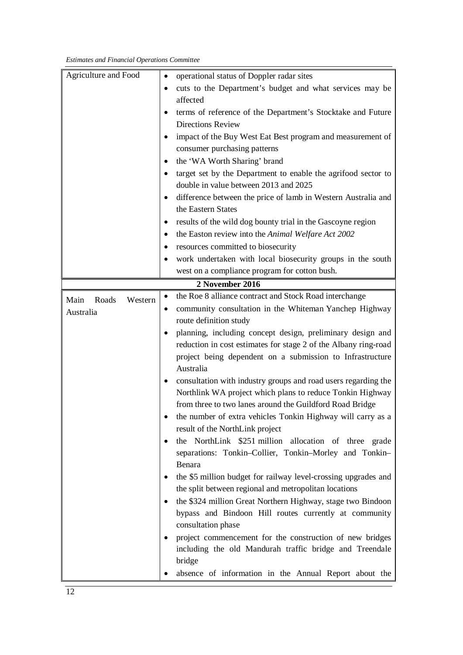| Agriculture and Food     | operational status of Doppler radar sites<br>$\bullet$                      |  |  |
|--------------------------|-----------------------------------------------------------------------------|--|--|
|                          | cuts to the Department's budget and what services may be<br>$\bullet$       |  |  |
|                          | affected                                                                    |  |  |
|                          | terms of reference of the Department's Stocktake and Future<br>$\bullet$    |  |  |
|                          | <b>Directions Review</b>                                                    |  |  |
|                          | impact of the Buy West Eat Best program and measurement of                  |  |  |
|                          | consumer purchasing patterns                                                |  |  |
|                          | the 'WA Worth Sharing' brand<br>٠                                           |  |  |
|                          | target set by the Department to enable the agrifood sector to<br>$\bullet$  |  |  |
|                          | double in value between 2013 and 2025                                       |  |  |
|                          | difference between the price of lamb in Western Australia and<br>$\bullet$  |  |  |
|                          | the Eastern States                                                          |  |  |
|                          | results of the wild dog bounty trial in the Gascoyne region<br>٠            |  |  |
|                          | the Easton review into the Animal Welfare Act 2002                          |  |  |
|                          | resources committed to biosecurity                                          |  |  |
|                          | work undertaken with local biosecurity groups in the south<br>$\bullet$     |  |  |
|                          | west on a compliance program for cotton bush.                               |  |  |
|                          | 2 November 2016                                                             |  |  |
| Roads<br>Western<br>Main | the Roe 8 alliance contract and Stock Road interchange                      |  |  |
| Australia                | community consultation in the Whiteman Yanchep Highway<br>$\bullet$         |  |  |
|                          | route definition study                                                      |  |  |
|                          | planning, including concept design, preliminary design and                  |  |  |
|                          | reduction in cost estimates for stage 2 of the Albany ring-road             |  |  |
|                          | project being dependent on a submission to Infrastructure                   |  |  |
|                          | Australia                                                                   |  |  |
|                          | consultation with industry groups and road users regarding the<br>٠         |  |  |
|                          | Northlink WA project which plans to reduce Tonkin Highway                   |  |  |
|                          | from three to two lanes around the Guildford Road Bridge                    |  |  |
|                          | the number of extra vehicles Tonkin Highway will carry as a                 |  |  |
|                          | result of the NorthLink project                                             |  |  |
|                          | the NorthLink \$251 million allocation of three grade<br>$\bullet$          |  |  |
|                          | separations: Tonkin-Collier, Tonkin-Morley and Tonkin-                      |  |  |
|                          | Benara                                                                      |  |  |
|                          | the \$5 million budget for railway level-crossing upgrades and<br>$\bullet$ |  |  |
|                          | the split between regional and metropolitan locations                       |  |  |
|                          | the \$324 million Great Northern Highway, stage two Bindoon<br>$\bullet$    |  |  |
|                          | bypass and Bindoon Hill routes currently at community                       |  |  |
|                          | consultation phase                                                          |  |  |
|                          | project commencement for the construction of new bridges<br>$\bullet$       |  |  |
|                          | including the old Mandurah traffic bridge and Treendale                     |  |  |
|                          | bridge                                                                      |  |  |
|                          | absence of information in the Annual Report about the                       |  |  |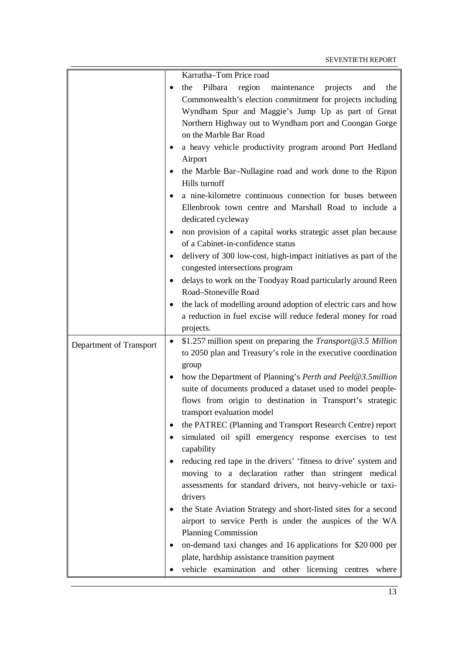|                         | Karratha-Tom Price road                                                                                                                                                                                                                                            |
|-------------------------|--------------------------------------------------------------------------------------------------------------------------------------------------------------------------------------------------------------------------------------------------------------------|
|                         | Pilbara<br>region maintenance<br>projects<br>and the<br>the<br>Commonwealth's election commitment for projects including<br>Wyndham Spur and Maggie's Jump Up as part of Great<br>Northern Highway out to Wyndham port and Coongan Gorge<br>on the Marble Bar Road |
|                         | a heavy vehicle productivity program around Port Hedland<br>Airport                                                                                                                                                                                                |
|                         | the Marble Bar–Nullagine road and work done to the Ripon<br>٠<br>Hills turnoff                                                                                                                                                                                     |
|                         | a nine-kilometre continuous connection for buses between<br>Ellenbrook town centre and Marshall Road to include a<br>dedicated cycleway                                                                                                                            |
|                         | non provision of a capital works strategic asset plan because<br>٠<br>of a Cabinet-in-confidence status                                                                                                                                                            |
|                         | delivery of 300 low-cost, high-impact initiatives as part of the<br>congested intersections program                                                                                                                                                                |
|                         | delays to work on the Toodyay Road particularly around Reen<br>Road-Stoneville Road                                                                                                                                                                                |
|                         | the lack of modelling around adoption of electric cars and how<br>$\bullet$<br>a reduction in fuel excise will reduce federal money for road<br>projects.                                                                                                          |
| Department of Transport | \$1.257 million spent on preparing the <i>Transport@3.5 Million</i><br>$\bullet$<br>to 2050 plan and Treasury's role in the executive coordination                                                                                                                 |
|                         | group<br>how the Department of Planning's Perth and Peel@3.5million                                                                                                                                                                                                |
|                         | suite of documents produced a dataset used to model people-<br>flows from origin to destination in Transport's strategic<br>transport evaluation model                                                                                                             |
|                         | the PATREC (Planning and Transport Research Centre) report<br>٠<br>simulated oil spill emergency response exercises to test<br>٠                                                                                                                                   |
|                         | capability                                                                                                                                                                                                                                                         |
|                         | reducing red tape in the drivers' 'fitness to drive' system and<br>٠<br>moving to a declaration rather than stringent medical<br>assessments for standard drivers, not heavy-vehicle or taxi-<br>drivers                                                           |
|                         | the State Aviation Strategy and short-listed sites for a second<br>٠<br>airport to service Perth is under the auspices of the WA<br><b>Planning Commission</b>                                                                                                     |
|                         | on-demand taxi changes and 16 applications for \$20 000 per<br>٠                                                                                                                                                                                                   |
|                         | plate, hardship assistance transition payment<br>vehicle examination and other licensing centres where                                                                                                                                                             |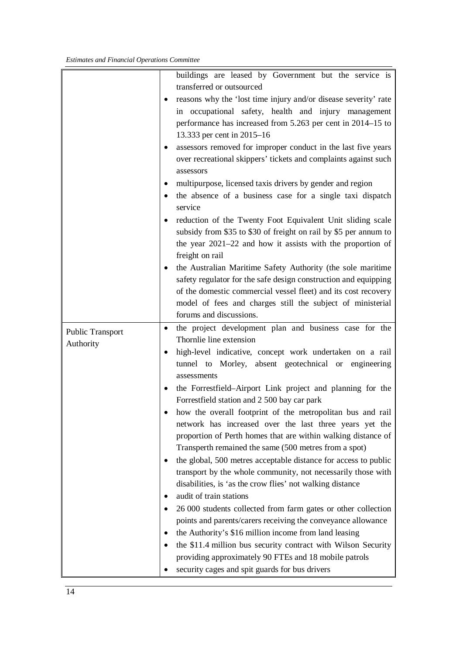|                         | buildings are leased by Government but the service is                   |
|-------------------------|-------------------------------------------------------------------------|
|                         | transferred or outsourced                                               |
|                         | • reasons why the 'lost time injury and/or disease severity' rate       |
|                         | in occupational safety, health and injury management                    |
|                         | performance has increased from 5.263 per cent in 2014–15 to             |
|                         | 13.333 per cent in 2015–16                                              |
|                         | assessors removed for improper conduct in the last five years           |
|                         | over recreational skippers' tickets and complaints against such         |
|                         | assessors                                                               |
|                         | multipurpose, licensed taxis drivers by gender and region<br>٠          |
|                         | the absence of a business case for a single taxi dispatch<br>$\bullet$  |
|                         | service                                                                 |
|                         | reduction of the Twenty Foot Equivalent Unit sliding scale<br>٠         |
|                         | subsidy from \$35 to \$30 of freight on rail by \$5 per annum to        |
|                         | the year $2021-22$ and how it assists with the proportion of            |
|                         | freight on rail                                                         |
|                         | the Australian Maritime Safety Authority (the sole maritime<br>٠        |
|                         | safety regulator for the safe design construction and equipping         |
|                         | of the domestic commercial vessel fleet) and its cost recovery          |
|                         | model of fees and charges still the subject of ministerial              |
|                         | forums and discussions.                                                 |
| <b>Public Transport</b> | the project development plan and business case for the<br>٠             |
| Authority               | Thornlie line extension                                                 |
|                         | high-level indicative, concept work undertaken on a rail                |
|                         | tunnel to Morley, absent geotechnical or engineering                    |
|                         | assessments                                                             |
|                         | the Forrestfield–Airport Link project and planning for the<br>$\bullet$ |
|                         | Forrestfield station and 2 500 bay car park                             |
|                         | how the overall footprint of the metropolitan bus and rail              |
|                         | network has increased over the last three years yet the                 |
|                         | proportion of Perth homes that are within walking distance of           |
|                         | Transperth remained the same (500 metres from a spot)                   |
|                         | the global, 500 metres acceptable distance for access to public         |
|                         | transport by the whole community, not necessarily those with            |
|                         | disabilities, is 'as the crow flies' not walking distance               |
|                         | audit of train stations                                                 |
|                         | 26 000 students collected from farm gates or other collection           |
|                         | points and parents/carers receiving the conveyance allowance            |
|                         | the Authority's \$16 million income from land leasing                   |
|                         | the \$11.4 million bus security contract with Wilson Security           |
|                         | providing approximately 90 FTEs and 18 mobile patrols                   |
|                         | security cages and spit guards for bus drivers                          |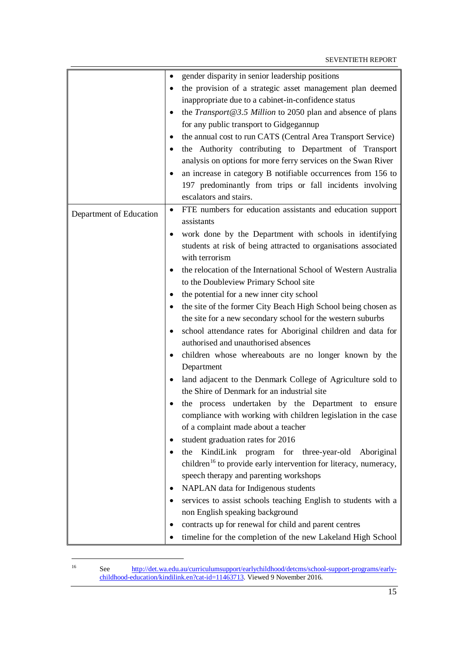|                         | gender disparity in senior leadership positions<br>$\bullet$                 |
|-------------------------|------------------------------------------------------------------------------|
|                         | the provision of a strategic asset management plan deemed                    |
|                         | inappropriate due to a cabinet-in-confidence status                          |
|                         | the Transport $@3.5$ Million to 2050 plan and absence of plans<br>٠          |
|                         | for any public transport to Gidgegannup                                      |
|                         | the annual cost to run CATS (Central Area Transport Service)<br>٠            |
|                         | the Authority contributing to Department of Transport<br>$\bullet$           |
|                         | analysis on options for more ferry services on the Swan River                |
|                         | an increase in category B notifiable occurrences from 156 to                 |
|                         | 197 predominantly from trips or fall incidents involving                     |
|                         | escalators and stairs.                                                       |
|                         | FTE numbers for education assistants and education support<br>$\bullet$      |
| Department of Education | assistants                                                                   |
|                         | work done by the Department with schools in identifying                      |
|                         | students at risk of being attracted to organisations associated              |
|                         | with terrorism                                                               |
|                         | the relocation of the International School of Western Australia              |
|                         | to the Doubleview Primary School site                                        |
|                         | the potential for a new inner city school                                    |
|                         | the site of the former City Beach High School being chosen as<br>$\bullet$   |
|                         | the site for a new secondary school for the western suburbs                  |
|                         | school attendance rates for Aboriginal children and data for                 |
|                         | authorised and unauthorised absences                                         |
|                         | children whose whereabouts are no longer known by the                        |
|                         | Department                                                                   |
|                         | land adjacent to the Denmark College of Agriculture sold to<br>$\bullet$     |
|                         | the Shire of Denmark for an industrial site                                  |
|                         | the process undertaken by the Department to ensure                           |
|                         | compliance with working with children legislation in the case                |
|                         | of a complaint made about a teacher                                          |
|                         | student graduation rates for 2016<br>٠                                       |
|                         | KindiLink program for<br>three-year-old<br>Aboriginal<br>the                 |
|                         | children <sup>16</sup> to provide early intervention for literacy, numeracy, |
|                         | speech therapy and parenting workshops                                       |
|                         | NAPLAN data for Indigenous students<br>٠                                     |
|                         | services to assist schools teaching English to students with a<br>$\bullet$  |
|                         | non English speaking background                                              |
|                         | contracts up for renewal for child and parent centres<br>٠                   |
|                         | timeline for the completion of the new Lakeland High School<br>$\bullet$     |

<span id="page-20-0"></span> $16$ 

<sup>16</sup> See [http://det.wa.edu.au/curriculumsupport/earlychildhood/detcms/school-support-programs/early](http://det.wa.edu.au/curriculumsupport/earlychildhood/detcms/school-support-programs/early-childhood-education/kindilink.en?cat-id=11463713)[childhood-education/kindilink.en?cat-id=11463713.](http://det.wa.edu.au/curriculumsupport/earlychildhood/detcms/school-support-programs/early-childhood-education/kindilink.en?cat-id=11463713) Viewed 9 November 2016.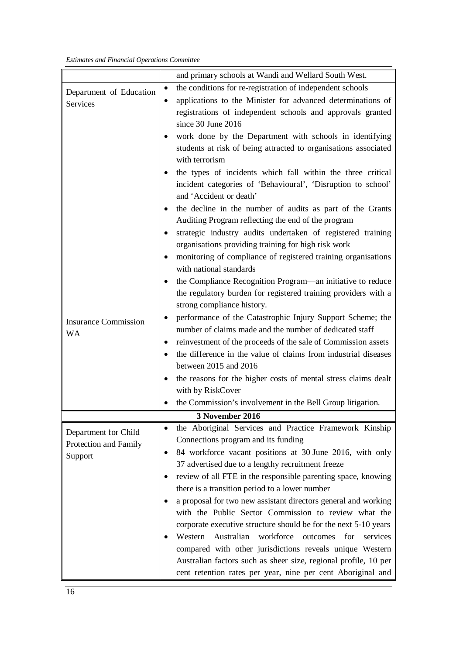|                             | and primary schools at Wandi and Wellard South West.                        |
|-----------------------------|-----------------------------------------------------------------------------|
| Department of Education     | the conditions for re-registration of independent schools<br>$\bullet$      |
| Services                    | applications to the Minister for advanced determinations of<br>$\bullet$    |
|                             | registrations of independent schools and approvals granted                  |
|                             | since 30 June 2016                                                          |
|                             | work done by the Department with schools in identifying<br>$\bullet$        |
|                             | students at risk of being attracted to organisations associated             |
|                             | with terrorism                                                              |
|                             | the types of incidents which fall within the three critical<br>$\bullet$    |
|                             | incident categories of 'Behavioural', 'Disruption to school'                |
|                             | and 'Accident or death'                                                     |
|                             | the decline in the number of audits as part of the Grants<br>٠              |
|                             | Auditing Program reflecting the end of the program                          |
|                             | strategic industry audits undertaken of registered training                 |
|                             | organisations providing training for high risk work                         |
|                             | monitoring of compliance of registered training organisations               |
|                             | with national standards                                                     |
|                             | the Compliance Recognition Program—an initiative to reduce<br>٠             |
|                             | the regulatory burden for registered training providers with a              |
|                             | strong compliance history.                                                  |
| <b>Insurance Commission</b> | performance of the Catastrophic Injury Support Scheme; the<br>$\bullet$     |
| <b>WA</b>                   | number of claims made and the number of dedicated staff                     |
|                             | reinvestment of the proceeds of the sale of Commission assets<br>٠          |
|                             | the difference in the value of claims from industrial diseases              |
|                             | between 2015 and 2016                                                       |
|                             | the reasons for the higher costs of mental stress claims dealt<br>٠         |
|                             | with by RiskCover                                                           |
|                             | the Commission's involvement in the Bell Group litigation.                  |
|                             | <b>3 November 2016</b>                                                      |
| Department for Child        | the Aboriginal Services and Practice Framework Kinship<br>$\bullet$         |
| Protection and Family       | Connections program and its funding                                         |
| Support                     | 84 workforce vacant positions at 30 June 2016, with only<br>$\bullet$       |
|                             | 37 advertised due to a lengthy recruitment freeze                           |
|                             | review of all FTE in the responsible parenting space, knowing<br>٠          |
|                             | there is a transition period to a lower number                              |
|                             | a proposal for two new assistant directors general and working<br>$\bullet$ |
|                             | with the Public Sector Commission to review what the                        |
|                             | corporate executive structure should be for the next 5-10 years             |
|                             | Australian<br>workforce<br>Western<br>for<br>services<br>outcomes           |
|                             | compared with other jurisdictions reveals unique Western                    |
|                             | Australian factors such as sheer size, regional profile, 10 per             |
|                             | cent retention rates per year, nine per cent Aboriginal and                 |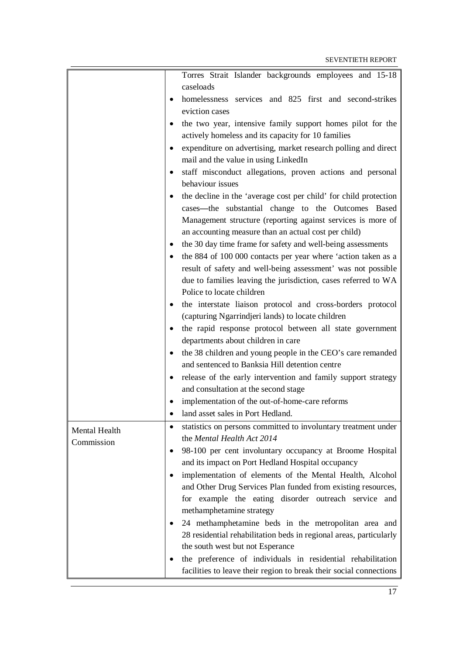|                             | Torres Strait Islander backgrounds employees and 15-18             |
|-----------------------------|--------------------------------------------------------------------|
|                             | caseloads                                                          |
| $\bullet$                   | homelessness services and 825 first and second-strikes             |
|                             | eviction cases                                                     |
| $\bullet$                   | the two year, intensive family support homes pilot for the         |
|                             | actively homeless and its capacity for 10 families                 |
| ٠                           | expenditure on advertising, market research polling and direct     |
|                             | mail and the value in using LinkedIn                               |
| ٠                           | staff misconduct allegations, proven actions and personal          |
|                             | behaviour issues                                                   |
|                             | the decline in the 'average cost per child' for child protection   |
|                             | cases-the substantial change to the Outcomes Based                 |
|                             | Management structure (reporting against services is more of        |
|                             | an accounting measure than an actual cost per child)               |
| ٠                           | the 30 day time frame for safety and well-being assessments        |
| $\bullet$                   | the 884 of 100 000 contacts per year where 'action taken as a      |
|                             | result of safety and well-being assessment' was not possible       |
|                             | due to families leaving the jurisdiction, cases referred to WA     |
|                             | Police to locate children                                          |
| ٠                           | the interstate liaison protocol and cross-borders protocol         |
|                             | (capturing Ngarrindjeri lands) to locate children                  |
| ٠                           | the rapid response protocol between all state government           |
|                             | departments about children in care                                 |
| ٠                           | the 38 children and young people in the CEO's care remanded        |
|                             | and sentenced to Banksia Hill detention centre                     |
|                             | release of the early intervention and family support strategy      |
|                             | and consultation at the second stage                               |
|                             | implementation of the out-of-home-care reforms                     |
|                             | land asset sales in Port Hedland.                                  |
| $\bullet$                   | statistics on persons committed to involuntary treatment under     |
| Mental Health<br>Commission | the Mental Health Act 2014                                         |
| $\bullet$                   | 98-100 per cent involuntary occupancy at Broome Hospital           |
|                             | and its impact on Port Hedland Hospital occupancy                  |
|                             | implementation of elements of the Mental Health, Alcohol           |
|                             | and Other Drug Services Plan funded from existing resources,       |
|                             | for example the eating disorder outreach service and               |
|                             | methamphetamine strategy                                           |
|                             | 24 methamphetamine beds in the metropolitan area and               |
|                             | 28 residential rehabilitation beds in regional areas, particularly |
|                             | the south west but not Esperance                                   |
|                             | the preference of individuals in residential rehabilitation        |
|                             | facilities to leave their region to break their social connections |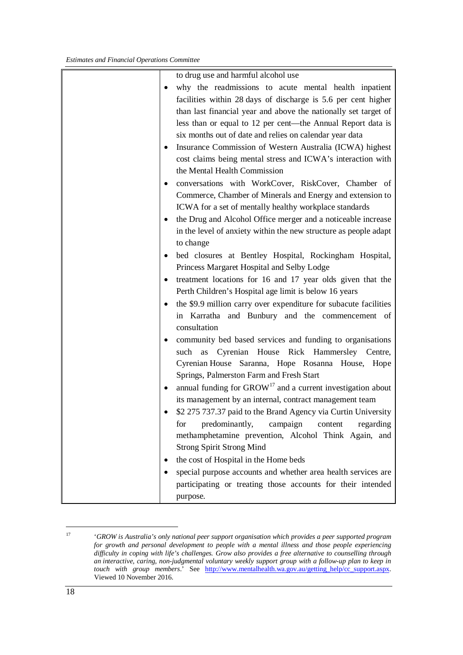|           | to drug use and harmful alcohol use                              |
|-----------|------------------------------------------------------------------|
|           | why the readmissions to acute mental health inpatient            |
|           | facilities within 28 days of discharge is 5.6 per cent higher    |
|           | than last financial year and above the nationally set target of  |
|           | less than or equal to 12 per cent—the Annual Report data is      |
|           | six months out of date and relies on calendar year data          |
| $\bullet$ | Insurance Commission of Western Australia (ICWA) highest         |
|           | cost claims being mental stress and ICWA's interaction with      |
|           | the Mental Health Commission                                     |
| ٠         | conversations with WorkCover, RiskCover, Chamber of              |
|           | Commerce, Chamber of Minerals and Energy and extension to        |
|           | ICWA for a set of mentally healthy workplace standards           |
| $\bullet$ | the Drug and Alcohol Office merger and a noticeable increase     |
|           | in the level of anxiety within the new structure as people adapt |
|           | to change                                                        |
| ٠         | bed closures at Bentley Hospital, Rockingham Hospital,           |
|           | Princess Margaret Hospital and Selby Lodge                       |
|           | treatment locations for 16 and 17 year olds given that the       |
|           | Perth Children's Hospital age limit is below 16 years            |
| $\bullet$ | the \$9.9 million carry over expenditure for subacute facilities |
|           | in Karratha and Bunbury and the commencement of                  |
|           | consultation                                                     |
|           | community bed based services and funding to organisations        |
|           | Cyrenian House Rick Hammersley Centre,<br>such<br>as             |
|           | Cyrenian House Saranna, Hope Rosanna House, Hope                 |
|           | Springs, Palmerston Farm and Fresh Start                         |
|           | annual funding for $GROW17$ and a current investigation about    |
|           | its management by an internal, contract management team          |
|           | \$2 275 737.37 paid to the Brand Agency via Curtin University    |
|           | predominantly, campaign<br>for<br>content<br>regarding           |
|           | methamphetamine prevention, Alcohol Think Again, and             |
|           | <b>Strong Spirit Strong Mind</b>                                 |
| ٠         | the cost of Hospital in the Home beds                            |
|           | special purpose accounts and whether area health services are    |
|           | participating or treating those accounts for their intended      |
|           | purpose.                                                         |

<span id="page-23-0"></span><sup>17</sup> '*GROW is Australia's only national peer support organisation which provides a peer supported program for growth and personal development to people with a mental illness and those people experiencing difficulty in coping with life's challenges. Grow also provides a free alternative to counselling through an interactive, caring, non-judgmental voluntary weekly support group with a follow-up plan to keep in touch with group members*.' See [http://www.mentalhealth.wa.gov.au/getting\\_help/cc\\_support.aspx.](http://www.mentalhealth.wa.gov.au/getting_help/cc_support.aspx) Viewed 10 November 2016.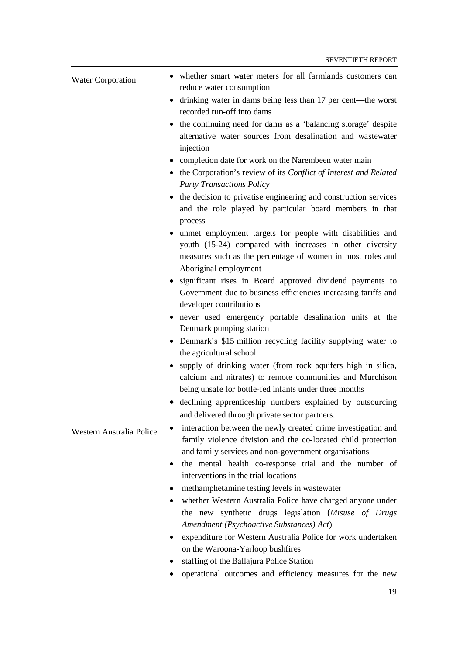| <b>Water Corporation</b> | • whether smart water meters for all farmlands customers can                                                                            |
|--------------------------|-----------------------------------------------------------------------------------------------------------------------------------------|
|                          | reduce water consumption                                                                                                                |
|                          | drinking water in dams being less than 17 per cent-the worst<br>recorded run-off into dams                                              |
|                          | the continuing need for dams as a 'balancing storage' despite                                                                           |
|                          | alternative water sources from desalination and wastewater                                                                              |
|                          | injection                                                                                                                               |
|                          | completion date for work on the Narembeen water main                                                                                    |
|                          | • the Corporation's review of its Conflict of Interest and Related                                                                      |
|                          | <b>Party Transactions Policy</b>                                                                                                        |
|                          | • the decision to privatise engineering and construction services<br>and the role played by particular board members in that<br>process |
|                          | • unmet employment targets for people with disabilities and                                                                             |
|                          | youth (15-24) compared with increases in other diversity                                                                                |
|                          | measures such as the percentage of women in most roles and                                                                              |
|                          | Aboriginal employment                                                                                                                   |
|                          | • significant rises in Board approved dividend payments to                                                                              |
|                          | Government due to business efficiencies increasing tariffs and<br>developer contributions                                               |
|                          | • never used emergency portable desalination units at the                                                                               |
|                          | Denmark pumping station                                                                                                                 |
|                          | Denmark's \$15 million recycling facility supplying water to<br>$\bullet$                                                               |
|                          | the agricultural school                                                                                                                 |
|                          | • supply of drinking water (from rock aquifers high in silica,                                                                          |
|                          | calcium and nitrates) to remote communities and Murchison                                                                               |
|                          | being unsafe for bottle-fed infants under three months                                                                                  |
|                          | • declining apprenticeship numbers explained by outsourcing                                                                             |
|                          | and delivered through private sector partners.                                                                                          |
| Western Australia Police | interaction between the newly created crime investigation and<br>$\bullet$                                                              |
|                          | family violence division and the co-located child protection                                                                            |
|                          | and family services and non-government organisations                                                                                    |
|                          | the mental health co-response trial and the number of                                                                                   |
|                          | interventions in the trial locations                                                                                                    |
|                          | methamphetamine testing levels in wastewater                                                                                            |
|                          | whether Western Australia Police have charged anyone under<br>٠                                                                         |
|                          | the new synthetic drugs legislation (Misuse of Drugs                                                                                    |
|                          | Amendment (Psychoactive Substances) Act)                                                                                                |
|                          | expenditure for Western Australia Police for work undertaken<br>٠                                                                       |
|                          | on the Waroona-Yarloop bushfires                                                                                                        |
|                          | staffing of the Ballajura Police Station                                                                                                |
|                          | operational outcomes and efficiency measures for the new                                                                                |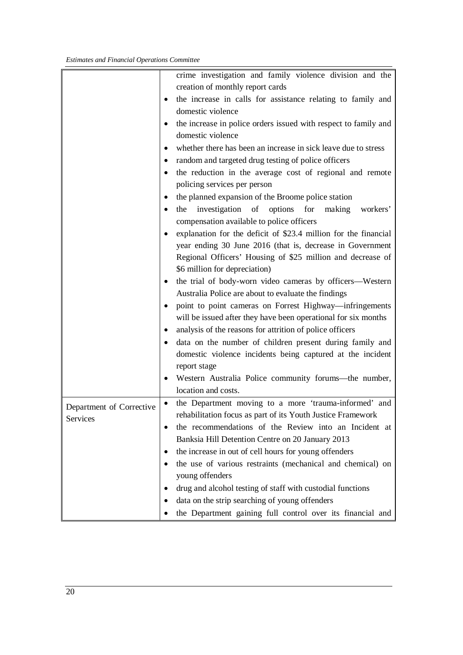|                          | crime investigation and family violence division and the                     |
|--------------------------|------------------------------------------------------------------------------|
|                          | creation of monthly report cards                                             |
|                          | the increase in calls for assistance relating to family and<br>$\bullet$     |
|                          | domestic violence                                                            |
|                          | the increase in police orders issued with respect to family and              |
|                          | domestic violence                                                            |
|                          | whether there has been an increase in sick leave due to stress<br>$\bullet$  |
|                          | random and targeted drug testing of police officers<br>٠                     |
|                          | the reduction in the average cost of regional and remote<br>$\bullet$        |
|                          | policing services per person                                                 |
|                          | the planned expansion of the Broome police station                           |
|                          | investigation<br>of<br>options<br>for<br>making<br>workers'<br>the<br>٠      |
|                          | compensation available to police officers                                    |
|                          | explanation for the deficit of \$23.4 million for the financial<br>$\bullet$ |
|                          |                                                                              |
|                          | year ending 30 June 2016 (that is, decrease in Government                    |
|                          | Regional Officers' Housing of \$25 million and decrease of                   |
|                          | \$6 million for depreciation)                                                |
|                          | the trial of body-worn video cameras by officers-Western<br>$\bullet$        |
|                          | Australia Police are about to evaluate the findings                          |
|                          | point to point cameras on Forrest Highway—infringements                      |
|                          | will be issued after they have been operational for six months               |
|                          | analysis of the reasons for attrition of police officers<br>٠                |
|                          | data on the number of children present during family and                     |
|                          | domestic violence incidents being captured at the incident                   |
|                          | report stage                                                                 |
|                          | Western Australia Police community forums—the number,<br>$\bullet$           |
|                          | location and costs.                                                          |
| Department of Corrective | the Department moving to a more 'trauma-informed' and                        |
| Services                 | rehabilitation focus as part of its Youth Justice Framework                  |
|                          | the recommendations of the Review into an Incident at<br>$\bullet$           |
|                          | Banksia Hill Detention Centre on 20 January 2013                             |
|                          | the increase in out of cell hours for young offenders<br>$\bullet$           |
|                          | the use of various restraints (mechanical and chemical) on                   |
|                          | young offenders                                                              |
|                          | drug and alcohol testing of staff with custodial functions                   |
|                          | data on the strip searching of young offenders                               |
|                          | the Department gaining full control over its financial and                   |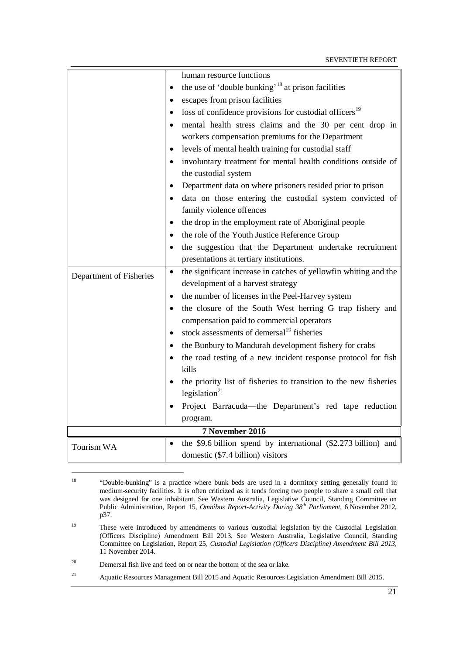|                         | human resource functions                                                                       |
|-------------------------|------------------------------------------------------------------------------------------------|
|                         | the use of 'double bunking' <sup>18</sup> at prison facilities<br>$\bullet$                    |
|                         | escapes from prison facilities                                                                 |
|                         | loss of confidence provisions for custodial officers <sup>19</sup><br>$\bullet$                |
|                         | mental health stress claims and the 30 per cent drop in                                        |
|                         | workers compensation premiums for the Department                                               |
|                         | levels of mental health training for custodial staff<br>$\bullet$                              |
|                         | involuntary treatment for mental health conditions outside of<br>$\bullet$                     |
|                         | the custodial system                                                                           |
|                         | Department data on where prisoners resided prior to prison<br>$\bullet$                        |
|                         | data on those entering the custodial system convicted of                                       |
|                         | family violence offences                                                                       |
|                         | the drop in the employment rate of Aboriginal people<br>٠                                      |
|                         | the role of the Youth Justice Reference Group                                                  |
|                         | the suggestion that the Department undertake recruitment                                       |
|                         | presentations at tertiary institutions.                                                        |
| Department of Fisheries | the significant increase in catches of yellowfin whiting and the<br>$\bullet$                  |
|                         | development of a harvest strategy                                                              |
|                         | the number of licenses in the Peel-Harvey system<br>٠                                          |
|                         | the closure of the South West herring G trap fishery and<br>$\bullet$                          |
|                         | compensation paid to commercial operators                                                      |
|                         | stock assessments of demersal <sup>20</sup> fisheries<br>$\bullet$                             |
|                         | the Bunbury to Mandurah development fishery for crabs<br>$\bullet$                             |
|                         | the road testing of a new incident response protocol for fish                                  |
|                         | kills                                                                                          |
|                         | the priority list of fisheries to transition to the new fisheries<br>legislation <sup>21</sup> |
|                         | Project Barracuda—the Department's red tape reduction                                          |
|                         | program.                                                                                       |
| 7 November 2016         |                                                                                                |
| Tourism WA              | the \$9.6 billion spend by international (\$2.273 billion) and                                 |
|                         | domestic (\$7.4 billion) visitors                                                              |

<span id="page-26-0"></span> $18\,$ <sup>18</sup> "Double-bunking" is a practice where bunk beds are used in a dormitory setting generally found in medium-security facilities. It is often criticized as it tends forcing two people to share a small cell that was designed for one inhabitant. See Western Australia, Legislative Council, Standing Committee on Public Administration, Report 15, *Omnibus Report-Activity During 38<sup>th</sup> Parliament*, 6 November 2012, p37.

<span id="page-26-1"></span><sup>&</sup>lt;sup>19</sup> These were introduced by amendments to various custodial legislation by the Custodial Legislation (Officers Discipline) Amendment Bill 2013. See Western Australia, Legislative Council, Standing Committee on Legislation, Report 25, *Custodial Legislation (Officers Discipline) Amendment Bill 2013*, 11 November 2014.

<span id="page-26-2"></span><sup>&</sup>lt;sup>20</sup> Demersal fish live and feed on or near the bottom of the sea or lake.

<span id="page-26-3"></span><sup>21</sup> Aquatic Resources Management Bill 2015 and Aquatic Resources Legislation Amendment Bill 2015.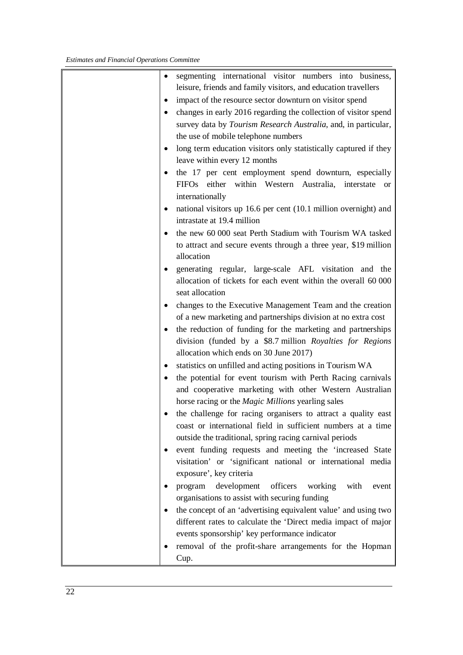| ٠         | segmenting international visitor numbers into business,                       |
|-----------|-------------------------------------------------------------------------------|
|           | leisure, friends and family visitors, and education travellers                |
|           | impact of the resource sector downturn on visitor spend                       |
| $\bullet$ | changes in early 2016 regarding the collection of visitor spend               |
|           | survey data by Tourism Research Australia, and, in particular,                |
|           | the use of mobile telephone numbers                                           |
| $\bullet$ | long term education visitors only statistically captured if they              |
|           | leave within every 12 months                                                  |
|           | the 17 per cent employment spend downturn, especially                         |
|           | FIFOs either within Western Australia,<br>interstate<br><b>or</b>             |
|           | internationally                                                               |
|           | national visitors up 16.6 per cent (10.1 million overnight) and               |
|           | intrastate at 19.4 million                                                    |
|           |                                                                               |
| $\bullet$ | the new 60 000 seat Perth Stadium with Tourism WA tasked                      |
|           | to attract and secure events through a three year, \$19 million<br>allocation |
|           |                                                                               |
| $\bullet$ | generating regular, large-scale AFL visitation and the                        |
|           | allocation of tickets for each event within the overall 60 000                |
|           | seat allocation                                                               |
| $\bullet$ | changes to the Executive Management Team and the creation                     |
|           | of a new marketing and partnerships division at no extra cost                 |
|           | the reduction of funding for the marketing and partnerships                   |
|           | division (funded by a \$8.7 million Royalties for Regions                     |
|           | allocation which ends on 30 June 2017)                                        |
| ٠         | statistics on unfilled and acting positions in Tourism WA                     |
| $\bullet$ | the potential for event tourism with Perth Racing carnivals                   |
|           | and cooperative marketing with other Western Australian                       |
|           | horse racing or the Magic Millions yearling sales                             |
|           | the challenge for racing organisers to attract a quality east                 |
|           | coast or international field in sufficient numbers at a time                  |
|           | outside the traditional, spring racing carnival periods                       |
|           | event funding requests and meeting the 'increased State                       |
|           | visitation' or 'significant national or international media                   |
|           | exposure', key criteria                                                       |
| $\bullet$ | development<br>officers working<br>with<br>program<br>event                   |
|           | organisations to assist with securing funding                                 |
|           | the concept of an 'advertising equivalent value' and using two                |
|           | different rates to calculate the 'Direct media impact of major                |
|           | events sponsorship' key performance indicator                                 |
|           | removal of the profit-share arrangements for the Hopman                       |
|           | Cup.                                                                          |
|           |                                                                               |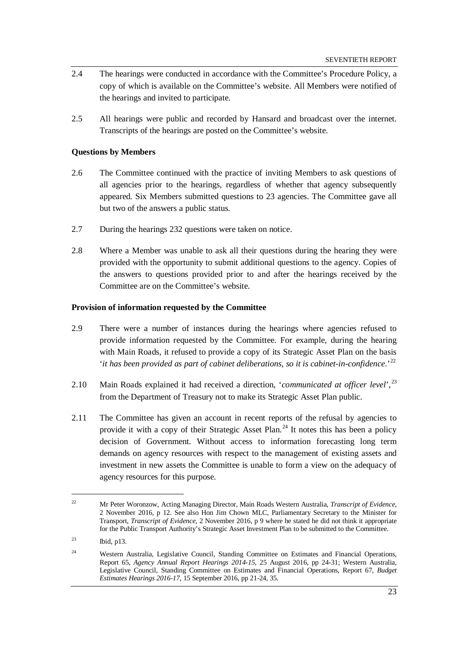- 2.4 The hearings were conducted in accordance with the Committee's Procedure Policy, a copy of which is available on the Committee's website. All Members were notified of the hearings and invited to participate.
- 2.5 All hearings were public and recorded by Hansard and broadcast over the internet. Transcripts of the hearings are posted on the Committee's website.

### <span id="page-28-0"></span>**Questions by Members**

- 2.6 The Committee continued with the practice of inviting Members to ask questions of all agencies prior to the hearings, regardless of whether that agency subsequently appeared. Six Members submitted questions to 23 agencies. The Committee gave all but two of the answers a public status.
- 2.7 During the hearings 232 questions were taken on notice.
- 2.8 Where a Member was unable to ask all their questions during the hearing they were provided with the opportunity to submit additional questions to the agency. Copies of the answers to questions provided prior to and after the hearings received by the Committee are on the Committee's website.

#### <span id="page-28-1"></span>**Provision of information requested by the Committee**

- 2.9 There were a number of instances during the hearings where agencies refused to provide information requested by the Committee. For example, during the hearing with Main Roads, it refused to provide a copy of its Strategic Asset Plan on the basis '*it has been provided as part of cabinet deliberations, so it is cabinet-in-confidence*.'[22](#page-28-2)
- 2.10 Main Roads explained it had received a direction, '*communicated at officer level*', [23](#page-28-3) from the Department of Treasury not to make its Strategic Asset Plan public.
- 2.11 The Committee has given an account in recent reports of the refusal by agencies to provide it with a copy of their Strategic Asset Plan.<sup>[24](#page-28-4)</sup> It notes this has been a policy decision of Government. Without access to information forecasting long term demands on agency resources with respect to the management of existing assets and investment in new assets the Committee is unable to form a view on the adequacy of agency resources for this purpose.

<span id="page-28-2"></span><sup>22</sup> Mr Peter Woronzow, Acting Managing Director, Main Roads Western Australia, *Transcript of Evidence*, 2 November 2016, p 12. See also Hon Jim Chown MLC, Parliamentary Secretary to the Minister for Transport, *Transcript of Evidence*, 2 November 2016, p 9 where he stated he did not think it appropriate for the Public Transport Authority's Strategic Asset Investment Plan to be submitted to the Committee.

<span id="page-28-3"></span> $^{23}$  Ibid, p13.

<span id="page-28-4"></span><sup>&</sup>lt;sup>24</sup> Western Australia, Legislative Council, Standing Committee on Estimates and Financial Operations, Report 65, *Agency Annual Report Hearings 2014-15*, 25 August 2016, pp 24-31; Western Australia, Legislative Council, Standing Committee on Estimates and Financial Operations, Report 67, *Budget Estimates Hearings 2016-17*, 15 September 2016, pp 21-24, 35.